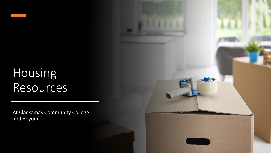# Housing Resources

At Clackamas Community College and Beyond

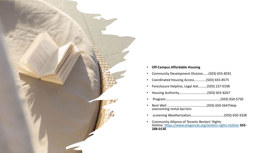

#### • **Off-Campus Affordable Housing**

- Community Development Division......(503) 655-8591
- Coordinated Housing Access.............(503) 655-8575
- Foreclosure Helpline, Legal Aid..........(503) 227-0198
- Housing Authority...............................(503) 655-8267
- Program............................................................(503) 650-5750
- Rent Well ...........................................(503) 650-5647Help overcoming rental barriers
- screening Weatherization....................................(503) 650-3338
- Community Alliance of Tenants Renters' Rights Hotline <https://www.oregoncat.org/renters-rights-hotline> **503- 288-0130**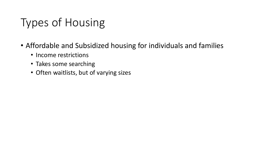# Types of Housing

- Affordable and Subsidized housing for individuals and families
	- Income restrictions
	- Takes some searching
	- Often waitlists, but of varying sizes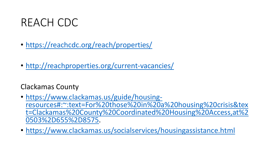#### REACH CDC

- <https://reachcdc.org/reach/properties/>
- <http://reachproperties.org/current-vacancies/>

#### Clackamas County

- https://www.clackamas.us/guide/housing-<br>resources#:~:text=For%20those%20in%20a%20housing%20crisis&tex [t=Clackamas%20County%20Coordinated%20Housing%20Access,at%2](https://www.clackamas.us/guide/housing-resources#:%7E:text=For%20those%20in%20a%20housing%20crisis&text=Clackamas%20County%20Coordinated%20Housing%20Access,at%20503%2D655%2D8575) 0503%2D655%2D8575.
- <https://www.clackamas.us/socialservices/housingassistance.html>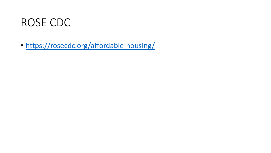#### ROSE CDC

• <https://rosecdc.org/affordable-housing/>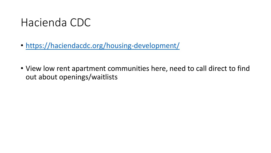#### Hacienda CDC

- <https://haciendacdc.org/housing-development/>
- View low rent apartment communities here, need to call direct to find out about openings/waitlists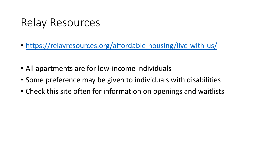## Relay Resources

- <https://relayresources.org/affordable-housing/live-with-us/>
- All apartments are for low-income individuals
- Some preference may be given to individuals with disabilities
- Check this site often for information on openings and waitlists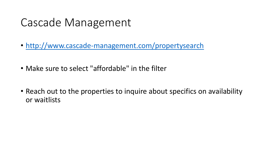### Cascade Management

- <http://www.cascade-management.com/propertysearch>
- Make sure to select "affordable" in the filter
- Reach out to the properties to inquire about specifics on availability or waitlists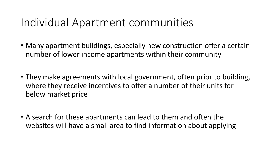### Individual Apartment communities

- Many apartment buildings, especially new construction offer a certain number of lower income apartments within their community
- They make agreements with local government, often prior to building, where they receive incentives to offer a number of their units for below market price
- A search for these apartments can lead to them and often the websites will have a small area to find information about applying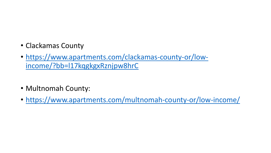- Clackamas County
- [https://www.apartments.com/clackamas-county-or/low](https://www.apartments.com/clackamas-county-or/low-income/?bb=l17kqgkgxRznjpw8hrC)income/?bb=l17kqgkgxRznjpw8hrC
- Multnomah County:
- <https://www.apartments.com/multnomah-county-or/low-income/>